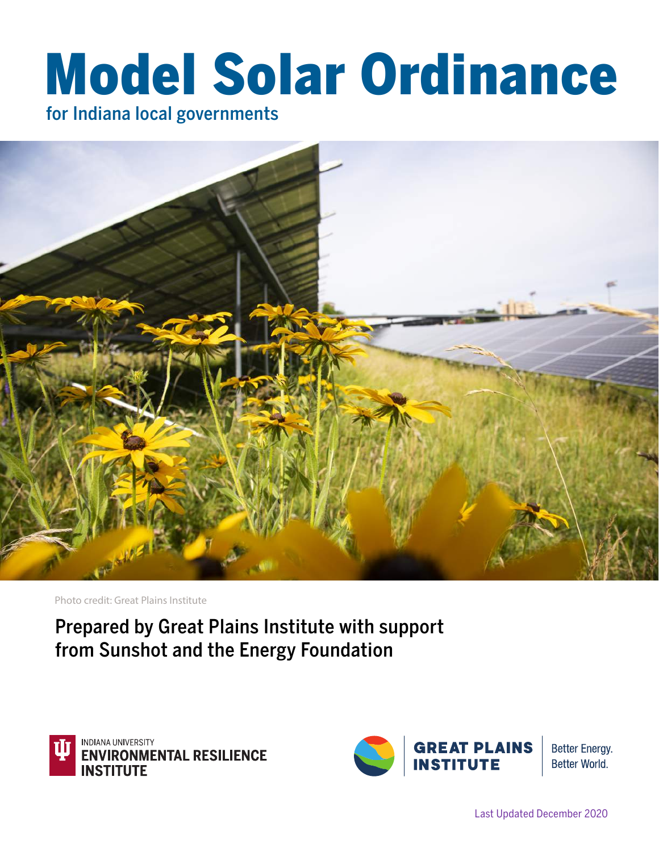# Model Solar Ordinance

for Indiana local governments



Photo credit: Great Plains Institute

Prepared by Great Plains Institute with support from Sunshot and the Energy Foundation



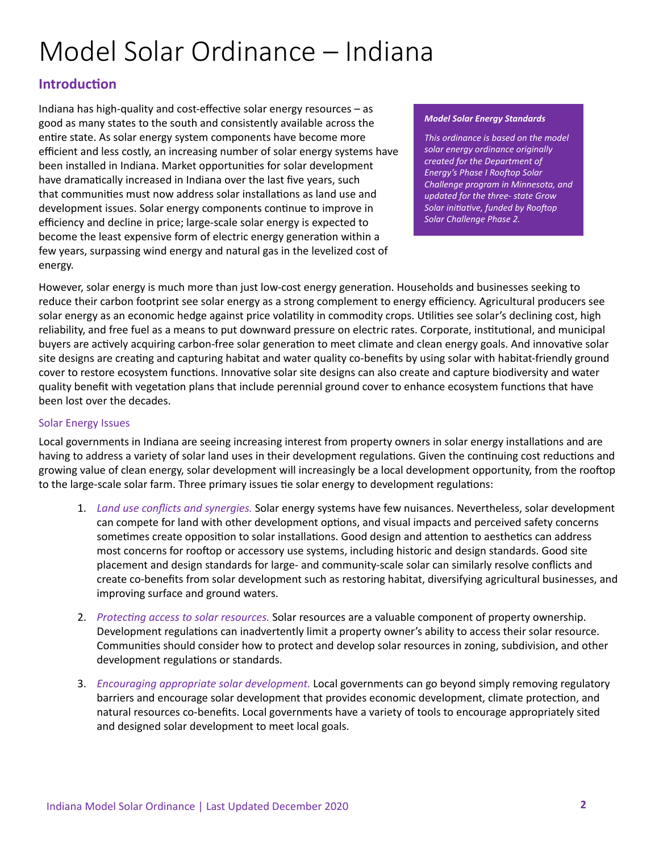# Model Solar Ordinance – Indiana

# **Introduction**

Indiana has high-quality and cost-effective solar energy resources – as good as many states to the south and consistently available across the entire state. As solar energy system components have become more efficient and less costly, an increasing number of solar energy systems have been installed in Indiana. Market opportunities for solar development have dramatically increased in Indiana over the last five years, such that communities must now address solar installations as land use and development issues. Solar energy components continue to improve in efficiency and decline in price; large-scale solar energy is expected to become the least expensive form of electric energy generation within a few years, surpassing wind energy and natural gas in the levelized cost of energy.

#### *Model Solar Energy Standards*

*This ordinance is based on the model solar energy ordinance originally created for the Department of Energy's Phase I Rooftop Solar Challenge program in Minnesota, and updated for the three- state Grow Solar initiative, funded by Rooftop Solar Challenge Phase 2.* 

However, solar energy is much more than just low-cost energy generation. Households and businesses seeking to reduce their carbon footprint see solar energy as a strong complement to energy efficiency. Agricultural producers see solar energy as an economic hedge against price volatility in commodity crops. Utilities see solar's declining cost, high reliability, and free fuel as a means to put downward pressure on electric rates. Corporate, institutional, and municipal buyers are actively acquiring carbon-free solar generation to meet climate and clean energy goals. And innovative solar site designs are creating and capturing habitat and water quality co-benefits by using solar with habitat-friendly ground cover to restore ecosystem functions. Innovative solar site designs can also create and capture biodiversity and water quality benefit with vegetation plans that include perennial ground cover to enhance ecosystem functions that have been lost over the decades.

#### Solar Energy Issues

Local governments in Indiana are seeing increasing interest from property owners in solar energy installations and are having to address a variety of solar land uses in their development regulations. Given the continuing cost reductions and growing value of clean energy, solar development will increasingly be a local development opportunity, from the rooftop to the large-scale solar farm. Three primary issues tie solar energy to development regulations:

- 1. *Land use conflicts and synergies.* Solar energy systems have few nuisances. Nevertheless, solar development can compete for land with other development options, and visual impacts and perceived safety concerns sometimes create opposition to solar installations. Good design and attention to aesthetics can address most concerns for rooftop or accessory use systems, including historic and design standards. Good site placement and design standards for large- and community-scale solar can similarly resolve conflicts and create co-benefits from solar development such as restoring habitat, diversifying agricultural businesses, and improving surface and ground waters.
- 2. *Protecting access to solar resources.* Solar resources are a valuable component of property ownership. Development regulations can inadvertently limit a property owner's ability to access their solar resource. Communities should consider how to protect and develop solar resources in zoning, subdivision, and other development regulations or standards.
- 3. *Encouraging appropriate solar development.* Local governments can go beyond simply removing regulatory barriers and encourage solar development that provides economic development, climate protection, and natural resources co-benefits. Local governments have a variety of tools to encourage appropriately sited and designed solar development to meet local goals.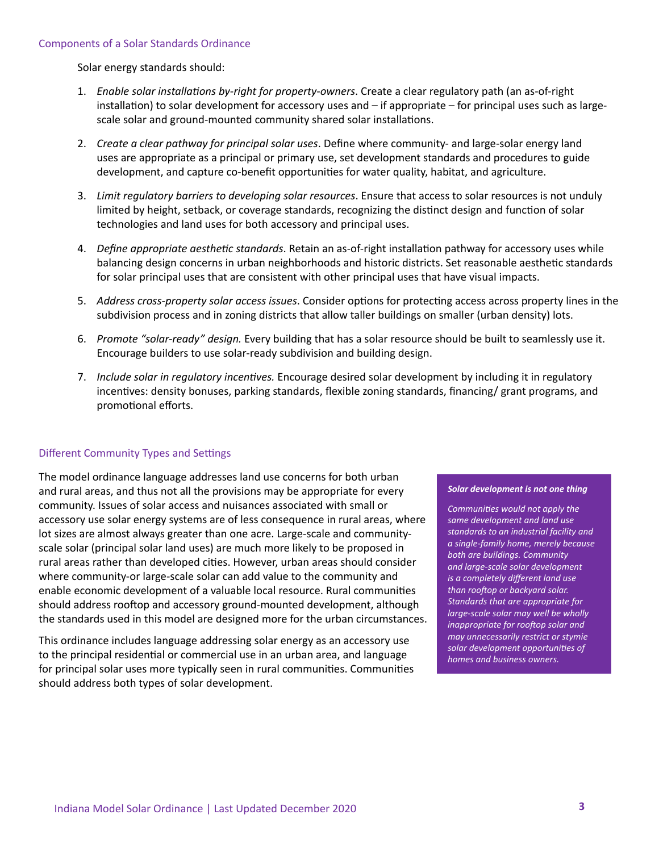Solar energy standards should:

- 1. *Enable solar installations by-right for property-owners*. Create a clear regulatory path (an as-of-right installation) to solar development for accessory uses and – if appropriate – for principal uses such as largescale solar and ground-mounted community shared solar installations.
- 2. *Create a clear pathway for principal solar uses*. Define where community- and large-solar energy land uses are appropriate as a principal or primary use, set development standards and procedures to guide development, and capture co-benefit opportunities for water quality, habitat, and agriculture.
- 3. *Limit regulatory barriers to developing solar resources*. Ensure that access to solar resources is not unduly limited by height, setback, or coverage standards, recognizing the distinct design and function of solar technologies and land uses for both accessory and principal uses.
- 4. *Define appropriate aesthetic standards*. Retain an as-of-right installation pathway for accessory uses while balancing design concerns in urban neighborhoods and historic districts. Set reasonable aesthetic standards for solar principal uses that are consistent with other principal uses that have visual impacts.
- 5. *Address cross-property solar access issues*. Consider options for protecting access across property lines in the subdivision process and in zoning districts that allow taller buildings on smaller (urban density) lots.
- 6. *Promote "solar-ready" design.* Every building that has a solar resource should be built to seamlessly use it. Encourage builders to use solar-ready subdivision and building design.
- 7. *Include solar in regulatory incentives.* Encourage desired solar development by including it in regulatory incentives: density bonuses, parking standards, flexible zoning standards, financing/ grant programs, and promotional efforts.

#### Different Community Types and Settings

The model ordinance language addresses land use concerns for both urban and rural areas, and thus not all the provisions may be appropriate for every community. Issues of solar access and nuisances associated with small or accessory use solar energy systems are of less consequence in rural areas, where lot sizes are almost always greater than one acre. Large-scale and communityscale solar (principal solar land uses) are much more likely to be proposed in rural areas rather than developed cities. However, urban areas should consider where community-or large-scale solar can add value to the community and enable economic development of a valuable local resource. Rural communities should address rooftop and accessory ground-mounted development, although the standards used in this model are designed more for the urban circumstances.

This ordinance includes language addressing solar energy as an accessory use to the principal residential or commercial use in an urban area, and language for principal solar uses more typically seen in rural communities. Communities should address both types of solar development.

#### *Solar development is not one thing*

*Communities would not apply the same development and land use standards to an industrial facility and a single-family home, merely because both are buildings. Community and large-scale solar development is a completely different land use than rooftop or backyard solar. Standards that are appropriate for large-scale solar may well be wholly inappropriate for rooftop solar and may unnecessarily restrict or stymie solar development opportunities of homes and business owners.*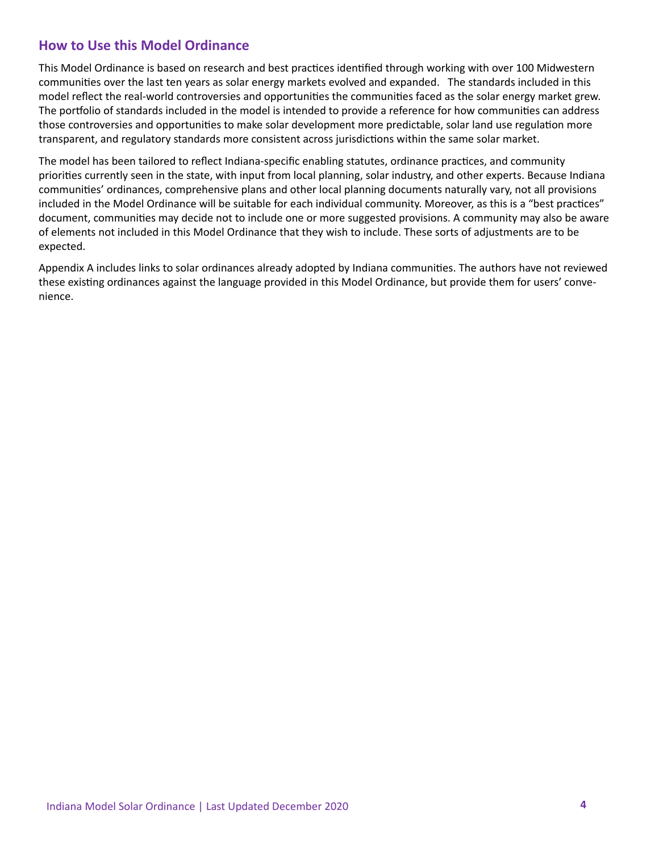### **How to Use this Model Ordinance**

This Model Ordinance is based on research and best practices identified through working with over 100 Midwestern communities over the last ten years as solar energy markets evolved and expanded. The standards included in this model reflect the real-world controversies and opportunities the communities faced as the solar energy market grew. The portfolio of standards included in the model is intended to provide a reference for how communities can address those controversies and opportunities to make solar development more predictable, solar land use regulation more transparent, and regulatory standards more consistent across jurisdictions within the same solar market.

The model has been tailored to reflect Indiana-specific enabling statutes, ordinance practices, and community priorities currently seen in the state, with input from local planning, solar industry, and other experts. Because Indiana communities' ordinances, comprehensive plans and other local planning documents naturally vary, not all provisions included in the Model Ordinance will be suitable for each individual community. Moreover, as this is a "best practices" document, communities may decide not to include one or more suggested provisions. A community may also be aware of elements not included in this Model Ordinance that they wish to include. These sorts of adjustments are to be expected.

Appendix A includes links to solar ordinances already adopted by Indiana communities. The authors have not reviewed these existing ordinances against the language provided in this Model Ordinance, but provide them for users' convenience.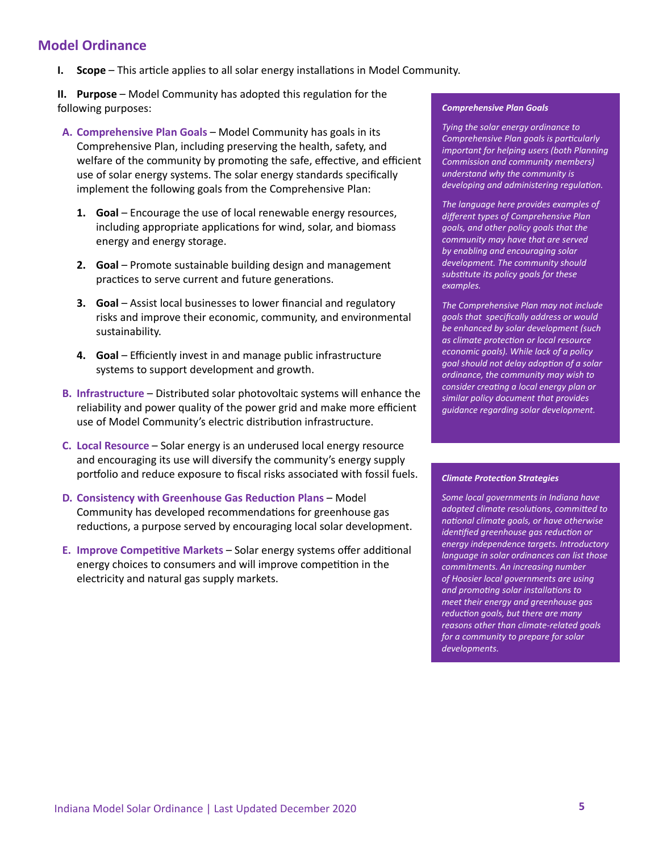## **Model Ordinance**

**I. Scope** – This article applies to all solar energy installations in Model Community.

**II.** Purpose – Model Community has adopted this regulation for the following purposes:

- **A. Comprehensive Plan Goals** Model Community has goals in its Comprehensive Plan, including preserving the health, safety, and welfare of the community by promoting the safe, effective, and efficient use of solar energy systems. The solar energy standards specifically implement the following goals from the Comprehensive Plan:
	- **1. Goal** Encourage the use of local renewable energy resources, including appropriate applications for wind, solar, and biomass energy and energy storage.
	- **2. Goal** Promote sustainable building design and management practices to serve current and future generations.
	- **3. Goal** Assist local businesses to lower financial and regulatory risks and improve their economic, community, and environmental sustainability.
	- **4. Goal** Efficiently invest in and manage public infrastructure systems to support development and growth.
- **B. Infrastructure** Distributed solar photovoltaic systems will enhance the reliability and power quality of the power grid and make more efficient use of Model Community's electric distribution infrastructure.
- **C. Local Resource**  Solar energy is an underused local energy resource and encouraging its use will diversify the community's energy supply portfolio and reduce exposure to fiscal risks associated with fossil fuels.
- **D. Consistency with Greenhouse Gas Reduction Plans** Model Community has developed recommendations for greenhouse gas reductions, a purpose served by encouraging local solar development.
- **E. Improve Competitive Markets** Solar energy systems offer additional energy choices to consumers and will improve competition in the electricity and natural gas supply markets.

#### *Comprehensive Plan Goals*

*Tying the solar energy ordinance to Comprehensive Plan goals is particularly important for helping users (both Planning Commission and community members) understand why the community is developing and administering regulation.*

*The language here provides examples of different types of Comprehensive Plan goals, and other policy goals that the community may have that are served by enabling and encouraging solar development. The community should substitute its policy goals for these examples.*

*The Comprehensive Plan may not include goals that specifically address or would be enhanced by solar development (such as climate protection or local resource economic goals). While lack of a policy goal should not delay adoption of a solar ordinance, the community may wish to consider creating a local energy plan or similar policy document that provides guidance regarding solar development.*

#### *Climate Protection Strategies*

*Some local governments in Indiana have adopted climate resolutions, committed to national climate goals, or have otherwise identified greenhouse gas reduction or energy independence targets. Introductory language in solar ordinances can list those commitments. An increasing number of Hoosier local governments are using and promoting solar installations to meet their energy and greenhouse gas reduction goals, but there are many reasons other than climate-related goals for a community to prepare for solar developments.*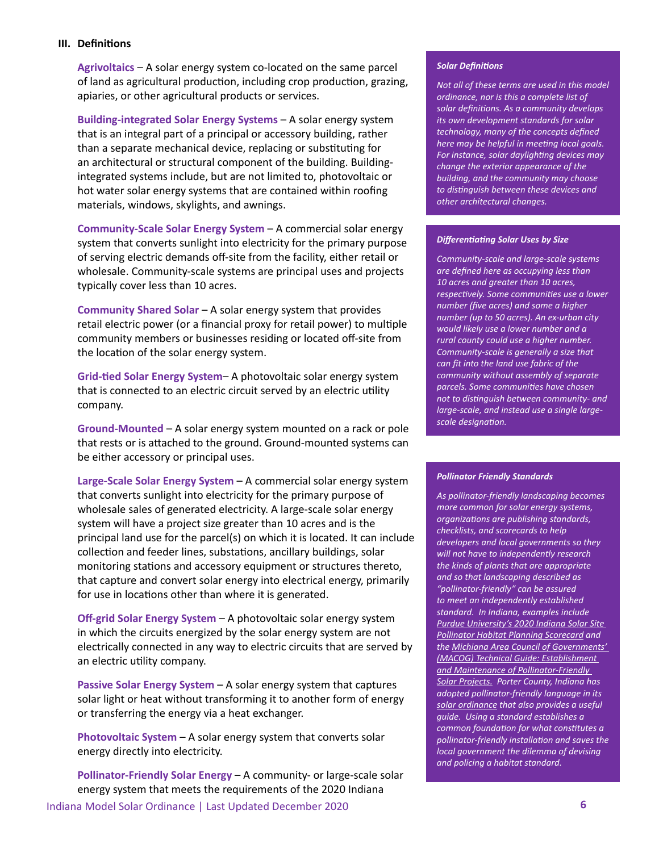#### **III. Definitions**

**Agrivoltaics** – A solar energy system co-located on the same parcel of land as agricultural production, including crop production, grazing, apiaries, or other agricultural products or services.

**Building-integrated Solar Energy Systems** – A solar energy system that is an integral part of a principal or accessory building, rather than a separate mechanical device, replacing or substituting for an architectural or structural component of the building. Buildingintegrated systems include, but are not limited to, photovoltaic or hot water solar energy systems that are contained within roofing materials, windows, skylights, and awnings.

**Community-Scale Solar Energy System** – A commercial solar energy system that converts sunlight into electricity for the primary purpose of serving electric demands off-site from the facility, either retail or wholesale. Community-scale systems are principal uses and projects typically cover less than 10 acres.

**Community Shared Solar** – A solar energy system that provides retail electric power (or a financial proxy for retail power) to multiple community members or businesses residing or located off-site from the location of the solar energy system.

**Grid-tied Solar Energy System**– A photovoltaic solar energy system that is connected to an electric circuit served by an electric utility company.

**Ground-Mounted** – A solar energy system mounted on a rack or pole that rests or is attached to the ground. Ground-mounted systems can be either accessory or principal uses.

**Large-Scale Solar Energy System** – A commercial solar energy system that converts sunlight into electricity for the primary purpose of wholesale sales of generated electricity. A large-scale solar energy system will have a project size greater than 10 acres and is the principal land use for the parcel(s) on which it is located. It can include collection and feeder lines, substations, ancillary buildings, solar monitoring stations and accessory equipment or structures thereto, that capture and convert solar energy into electrical energy, primarily for use in locations other than where it is generated.

**Off-grid Solar Energy System** – A photovoltaic solar energy system in which the circuits energized by the solar energy system are not electrically connected in any way to electric circuits that are served by an electric utility company.

**Passive Solar Energy System** – A solar energy system that captures solar light or heat without transforming it to another form of energy or transferring the energy via a heat exchanger.

**Photovoltaic System** – A solar energy system that converts solar energy directly into electricity.

**Pollinator-Friendly Solar Energy** – A community- or large-scale solar energy system that meets the requirements of the 2020 Indiana

#### *Solar Definitions*

*Not all of these terms are used in this model ordinance, nor is this a complete list of solar definitions. As a community develops its own development standards for solar technology, many of the concepts defined here may be helpful in meeting local goals. For instance, solar daylighting devices may change the exterior appearance of the building, and the community may choose to distinguish between these devices and other architectural changes.*

#### *Differentiating Solar Uses by Size*

*Community-scale and large-scale systems are defined here as occupying less than 10 acres and greater than 10 acres, respectively. Some communities use a lower number (five acres) and some a higher number (up to 50 acres). An ex-urban city would likely use a lower number and a rural county could use a higher number. Community-scale is generally a size that can fit into the land use fabric of the community without assembly of separate parcels. Some communities have chosen not to distinguish between community- and large-scale, and instead use a single largescale designation.*

#### *Pollinator Friendly Standards*

*As pollinator-friendly landscaping becomes more common for solar energy systems, organizations are publishing standards, checklists, and scorecards to help developers and local governments so they will not have to independently research the kinds of plants that are appropriate and so that landscaping described as "pollinator-friendly" can be assured to meet an independently established standard. In Indiana, examples include [Purdue University's 2020 Indiana Solar Site](https://mdc.itap.purdue.edu/item.asp?itemID=24467)  [Pollinator Habitat Planning Scorecard](https://mdc.itap.purdue.edu/item.asp?itemID=24467) and the [Michiana Area Council of Governments'](http://macog.com/solar_energy.html)  [\(MACOG\) Technical Guide: Establishment](http://macog.com/solar_energy.html)  [and Maintenance of Pollinator-Friendly](http://macog.com/solar_energy.html)  [Solar Projects.](http://macog.com/solar_energy.html) Porter County, Indiana has adopted pollinator-friendly language in its [solar ordinance](https://www.porterco.org/DocumentCenter/View/10077/Solar-Ordinance-Chps-2-5-and-10_Ord-20-11) that also provides a useful guide. Using a standard establishes a common foundation for what constitutes a pollinator-friendly installation and saves the local government the dilemma of devising and policing a habitat standard.*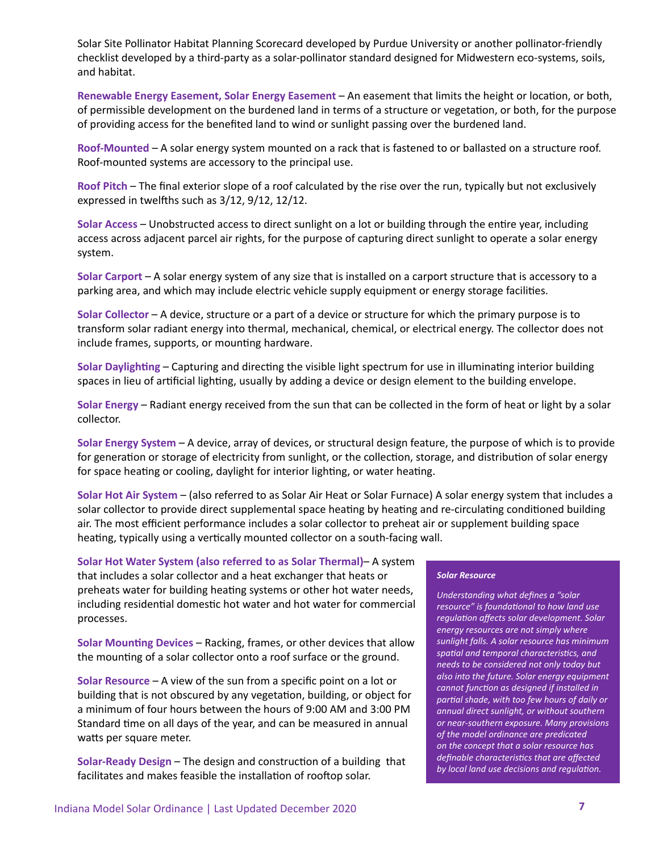Solar Site Pollinator Habitat Planning Scorecard developed by Purdue University or another pollinator-friendly checklist developed by a third-party as a solar-pollinator standard designed for Midwestern eco-systems, soils, and habitat.

**Renewable Energy Easement, Solar Energy Easement** – An easement that limits the height or location, or both, of permissible development on the burdened land in terms of a structure or vegetation, or both, for the purpose of providing access for the benefited land to wind or sunlight passing over the burdened land.

**Roof-Mounted** – A solar energy system mounted on a rack that is fastened to or ballasted on a structure roof. Roof-mounted systems are accessory to the principal use.

**Roof Pitch** – The final exterior slope of a roof calculated by the rise over the run, typically but not exclusively expressed in twelfths such as 3/12, 9/12, 12/12.

**Solar Access** – Unobstructed access to direct sunlight on a lot or building through the entire year, including access across adjacent parcel air rights, for the purpose of capturing direct sunlight to operate a solar energy system.

**Solar Carport** – A solar energy system of any size that is installed on a carport structure that is accessory to a parking area, and which may include electric vehicle supply equipment or energy storage facilities.

**Solar Collector** – A device, structure or a part of a device or structure for which the primary purpose is to transform solar radiant energy into thermal, mechanical, chemical, or electrical energy. The collector does not include frames, supports, or mounting hardware.

**Solar Daylighting** – Capturing and directing the visible light spectrum for use in illuminating interior building spaces in lieu of artificial lighting, usually by adding a device or design element to the building envelope.

**Solar Energy** – Radiant energy received from the sun that can be collected in the form of heat or light by a solar collector.

**Solar Energy System** – A device, array of devices, or structural design feature, the purpose of which is to provide for generation or storage of electricity from sunlight, or the collection, storage, and distribution of solar energy for space heating or cooling, daylight for interior lighting, or water heating.

**Solar Hot Air System** – (also referred to as Solar Air Heat or Solar Furnace) A solar energy system that includes a solar collector to provide direct supplemental space heating by heating and re-circulating conditioned building air. The most efficient performance includes a solar collector to preheat air or supplement building space heating, typically using a vertically mounted collector on a south-facing wall.

**Solar Hot Water System (also referred to as Solar Thermal)**– A system that includes a solar collector and a heat exchanger that heats or preheats water for building heating systems or other hot water needs, including residential domestic hot water and hot water for commercial processes.

**Solar Mounting Devices** – Racking, frames, or other devices that allow the mounting of a solar collector onto a roof surface or the ground.

**Solar Resource** – A view of the sun from a specific point on a lot or building that is not obscured by any vegetation, building, or object for a minimum of four hours between the hours of 9:00 AM and 3:00 PM Standard time on all days of the year, and can be measured in annual watts per square meter.

**Solar-Ready Design** – The design and construction of a building that facilitates and makes feasible the installation of rooftop solar.

#### *Solar Resource*

*Understanding what defines a "solar resource" is foundational to how land use regulation affects solar development. Solar energy resources are not simply where sunlight falls. A solar resource has minimum spatial and temporal characteristics, and needs to be considered not only today but also into the future. Solar energy equipment cannot function as designed if installed in partial shade, with too few hours of daily or annual direct sunlight, or without southern or near-southern exposure. Many provisions of the model ordinance are predicated on the concept that a solar resource has definable characteristics that are affected by local land use decisions and regulation.*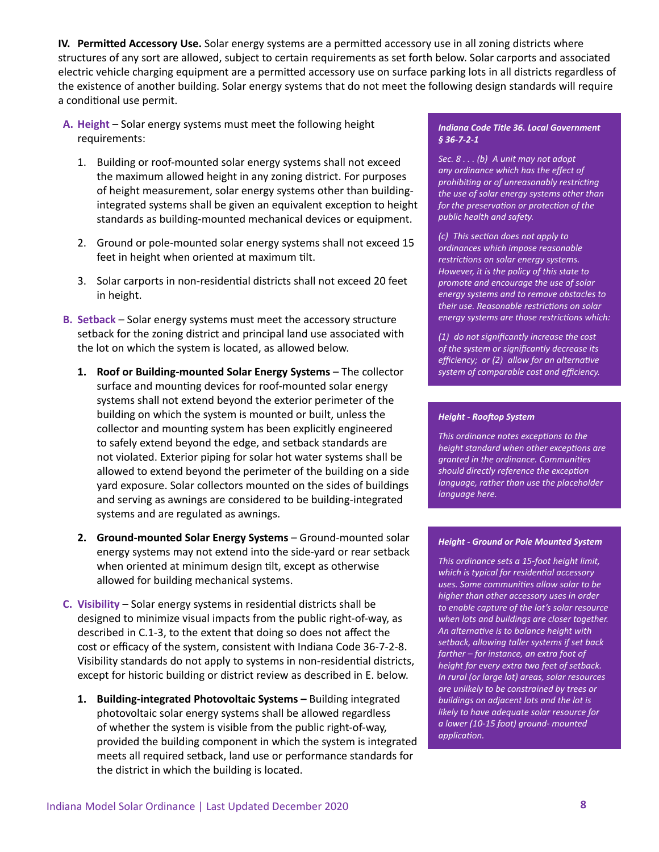**IV.** Permitted Accessory Use. Solar energy systems are a permitted accessory use in all zoning districts where structures of any sort are allowed, subject to certain requirements as set forth below. Solar carports and associated electric vehicle charging equipment are a permitted accessory use on surface parking lots in all districts regardless of the existence of another building. Solar energy systems that do not meet the following design standards will require a conditional use permit.

- **A. Height**  Solar energy systems must meet the following height requirements:
	- 1. Building or roof-mounted solar energy systems shall not exceed the maximum allowed height in any zoning district. For purposes of height measurement, solar energy systems other than buildingintegrated systems shall be given an equivalent exception to height standards as building-mounted mechanical devices or equipment.
	- 2. Ground or pole-mounted solar energy systems shall not exceed 15 feet in height when oriented at maximum tilt.
	- 3. Solar carports in non-residential districts shall not exceed 20 feet in height.
- **B. Setback** Solar energy systems must meet the accessory structure setback for the zoning district and principal land use associated with the lot on which the system is located, as allowed below.
	- **1. Roof or Building-mounted Solar Energy Systems** The collector surface and mounting devices for roof-mounted solar energy systems shall not extend beyond the exterior perimeter of the building on which the system is mounted or built, unless the collector and mounting system has been explicitly engineered to safely extend beyond the edge, and setback standards are not violated. Exterior piping for solar hot water systems shall be allowed to extend beyond the perimeter of the building on a side yard exposure. Solar collectors mounted on the sides of buildings and serving as awnings are considered to be building-integrated systems and are regulated as awnings.
	- **2. Ground-mounted Solar Energy Systems** Ground-mounted solar energy systems may not extend into the side-yard or rear setback when oriented at minimum design tilt, except as otherwise allowed for building mechanical systems.
- **C. Visibility**  Solar energy systems in residential districts shall be designed to minimize visual impacts from the public right-of-way, as described in C.1-3, to the extent that doing so does not affect the cost or efficacy of the system, consistent with Indiana Code 36-7-2-8. Visibility standards do not apply to systems in non-residential districts, except for historic building or district review as described in E. below.
	- **1. Building-integrated Photovoltaic Systems –** Building integrated photovoltaic solar energy systems shall be allowed regardless of whether the system is visible from the public right-of-way, provided the building component in which the system is integrated meets all required setback, land use or performance standards for the district in which the building is located.

#### *Indiana Code Title 36. Local Government § 36-7-2-1*

*Sec. 8 . . . (b) A unit may not adopt any ordinance which has the effect of prohibiting or of unreasonably restricting the use of solar energy systems other than for the preservation or protection of the public health and safety.*

*(c) This section does not apply to ordinances which impose reasonable restrictions on solar energy systems. However, it is the policy of this state to promote and encourage the use of solar energy systems and to remove obstacles to their use. Reasonable restrictions on solar energy systems are those restrictions which:*

*(1) do not significantly increase the cost of the system or significantly decrease its efficiency;  or (2) allow for an alternative system of comparable cost and efficiency.*

#### *Height - Rooftop System*

*This ordinance notes exceptions to the height standard when other exceptions are granted in the ordinance. Communities should directly reference the exception language, rather than use the placeholder language here.*

#### *Height - Ground or Pole Mounted System*

*This ordinance sets a 15-foot height limit, which is typical for residential accessory uses. Some communities allow solar to be higher than other accessory uses in order to enable capture of the lot's solar resource when lots and buildings are closer together. An alternative is to balance height with setback, allowing taller systems if set back farther – for instance, an extra foot of height for every extra two feet of setback. In rural (or large lot) areas, solar resources are unlikely to be constrained by trees or buildings on adjacent lots and the lot is likely to have adequate solar resource for a lower (10-15 foot) ground- mounted application.*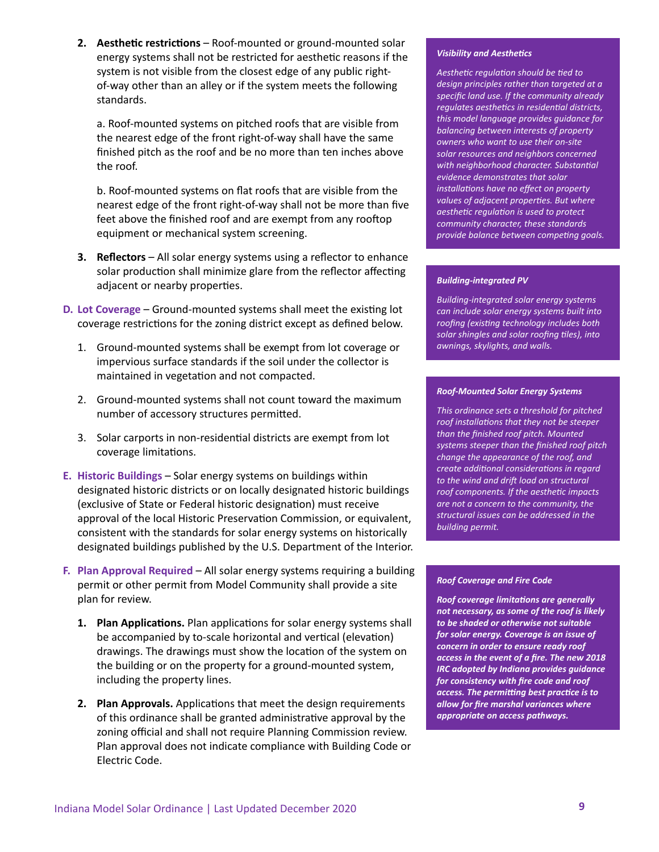**2. Aesthetic restrictions** – Roof-mounted or ground-mounted solar energy systems shall not be restricted for aesthetic reasons if the system is not visible from the closest edge of any public rightof-way other than an alley or if the system meets the following standards.

a. Roof-mounted systems on pitched roofs that are visible from the nearest edge of the front right-of-way shall have the same finished pitch as the roof and be no more than ten inches above the roof.

b. Roof-mounted systems on flat roofs that are visible from the nearest edge of the front right-of-way shall not be more than five feet above the finished roof and are exempt from any rooftop equipment or mechanical system screening.

- **3.** Reflectors All solar energy systems using a reflector to enhance solar production shall minimize glare from the reflector affecting adjacent or nearby properties.
- **D. Lot Coverage** Ground-mounted systems shall meet the existing lot coverage restrictions for the zoning district except as defined below.
	- 1. Ground-mounted systems shall be exempt from lot coverage or impervious surface standards if the soil under the collector is maintained in vegetation and not compacted.
	- 2. Ground-mounted systems shall not count toward the maximum number of accessory structures permitted.
	- 3. Solar carports in non-residential districts are exempt from lot coverage limitations.
- **E. Historic Buildings** Solar energy systems on buildings within designated historic districts or on locally designated historic buildings (exclusive of State or Federal historic designation) must receive approval of the local Historic Preservation Commission, or equivalent, consistent with the standards for solar energy systems on historically designated buildings published by the U.S. Department of the Interior.
- **F.** Plan Approval Required All solar energy systems requiring a building permit or other permit from Model Community shall provide a site plan for review.
	- **1. Plan Applications.** Plan applications for solar energy systems shall be accompanied by to-scale horizontal and vertical (elevation) drawings. The drawings must show the location of the system on the building or on the property for a ground-mounted system, including the property lines.
	- **2. Plan Approvals.** Applications that meet the design requirements of this ordinance shall be granted administrative approval by the zoning official and shall not require Planning Commission review. Plan approval does not indicate compliance with Building Code or Electric Code.

#### *Visibility and Aesthetics*

*Aesthetic regulation should be tied to design principles rather than targeted at a specific land use. If the community already regulates aesthetics in residential districts, this model language provides guidance for balancing between interests of property owners who want to use their on-site solar resources and neighbors concerned with neighborhood character. Substantial evidence demonstrates that solar installations have no effect on property values of adjacent properties. But where aesthetic regulation is used to protect community character, these standards provide balance between competing goals.*

#### *Building-integrated PV*

*Building-integrated solar energy systems can include solar energy systems built into roofing (existing technology includes both solar shingles and solar roofing tiles), into awnings, skylights, and walls.*

#### *Roof-Mounted Solar Energy Systems*

*This ordinance sets a threshold for pitched roof installations that they not be steeper than the finished roof pitch. Mounted systems steeper than the finished roof pitch change the appearance of the roof, and create additional considerations in regard to the wind and drift load on structural roof components. If the aesthetic impacts are not a concern to the community, the structural issues can be addressed in the building permit.*

#### *Roof Coverage and Fire Code*

*Roof coverage limitations are generally not necessary, as some of the roof is likely to be shaded or otherwise not suitable for solar energy. Coverage is an issue of concern in order to ensure ready roof access in the event of a fire. The new 2018 IRC adopted by Indiana provides guidance for consistency with fire code and roof access. The permitting best practice is to allow for fire marshal variances where appropriate on access pathways.*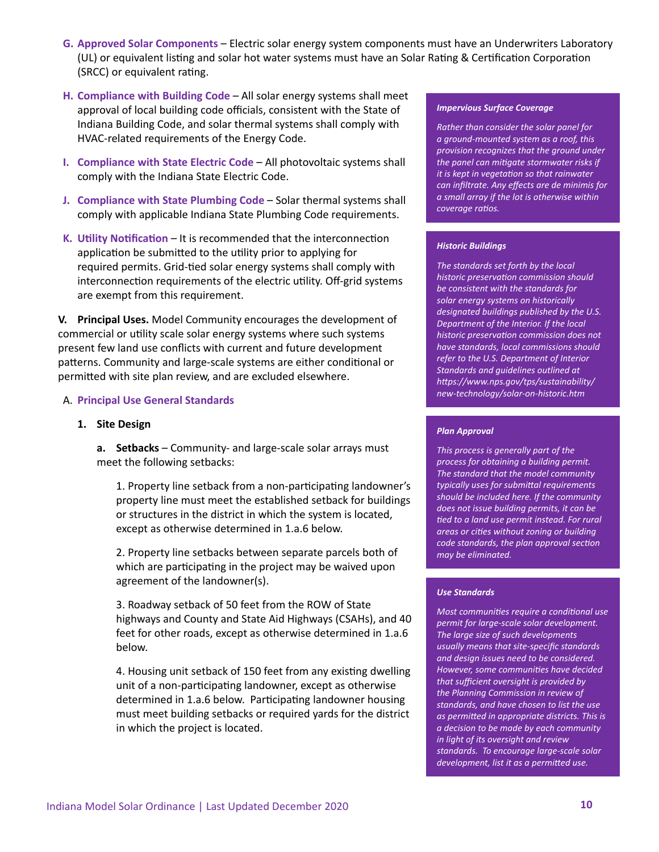- **G. Approved Solar Components** Electric solar energy system components must have an Underwriters Laboratory (UL) or equivalent listing and solar hot water systems must have an Solar Rating & Certification Corporation (SRCC) or equivalent rating.
- **H. Compliance with Building Code** All solar energy systems shall meet approval of local building code officials, consistent with the State of Indiana Building Code, and solar thermal systems shall comply with HVAC-related requirements of the Energy Code.
- **I. Compliance with State Electric Code All photovoltaic systems shall** comply with the Indiana State Electric Code.
- **J. Compliance with State Plumbing Code** Solar thermal systems shall comply with applicable Indiana State Plumbing Code requirements.
- **K. Utility Notification** It is recommended that the interconnection application be submitted to the utility prior to applying for required permits. Grid-tied solar energy systems shall comply with interconnection requirements of the electric utility. Off-grid systems are exempt from this requirement.

**V. Principal Uses.** Model Community encourages the development of commercial or utility scale solar energy systems where such systems present few land use conflicts with current and future development patterns. Community and large-scale systems are either conditional or permitted with site plan review, and are excluded elsewhere.

#### A. **Principal Use General Standards**

#### **1. Site Design**

**a.** Setbacks – Community- and large-scale solar arrays must meet the following setbacks:

1. Property line setback from a non-participating landowner's property line must meet the established setback for buildings or structures in the district in which the system is located, except as otherwise determined in 1.a.6 below.

2. Property line setbacks between separate parcels both of which are participating in the project may be waived upon agreement of the landowner(s).

3. Roadway setback of 50 feet from the ROW of State highways and County and State Aid Highways (CSAHs), and 40 feet for other roads, except as otherwise determined in 1.a.6 below.

4. Housing unit setback of 150 feet from any existing dwelling unit of a non-participating landowner, except as otherwise determined in 1.a.6 below. Participating landowner housing must meet building setbacks or required yards for the district in which the project is located.

#### *Impervious Surface Coverage*

*Rather than consider the solar panel for a ground-mounted system as a roof, this provision recognizes that the ground under the panel can mitigate stormwater risks if it is kept in vegetation so that rainwater can infiltrate. Any effects are de minimis for a small array if the lot is otherwise within coverage ratios.*

#### *Historic Buildings*

*The standards set forth by the local historic preservation commission should be consistent with the standards for solar energy systems on historically designated buildings published by the U.S. Department of the Interior. If the local historic preservation commission does not have standards, local commissions should refer to the U.S. Department of Interior Standards and guidelines outlined at https://www.nps.gov/tps/sustainability/ new-technology/solar-on-historic.htm*

#### *Plan Approval*

*This process is generally part of the process for obtaining a building permit. The standard that the model community typically uses for submittal requirements should be included here. If the community does not issue building permits, it can be tied to a land use permit instead. For rural areas or cities without zoning or building code standards, the plan approval section may be eliminated.* 

#### *Use Standards*

*Most communities require a conditional use permit for large-scale solar development. The large size of such developments usually means that site-specific standards and design issues need to be considered. However, some communities have decided that sufficient oversight is provided by the Planning Commission in review of standards, and have chosen to list the use as permitted in appropriate districts. This is a decision to be made by each community in light of its oversight and review standards. To encourage large-scale solar development, list it as a permitted use.*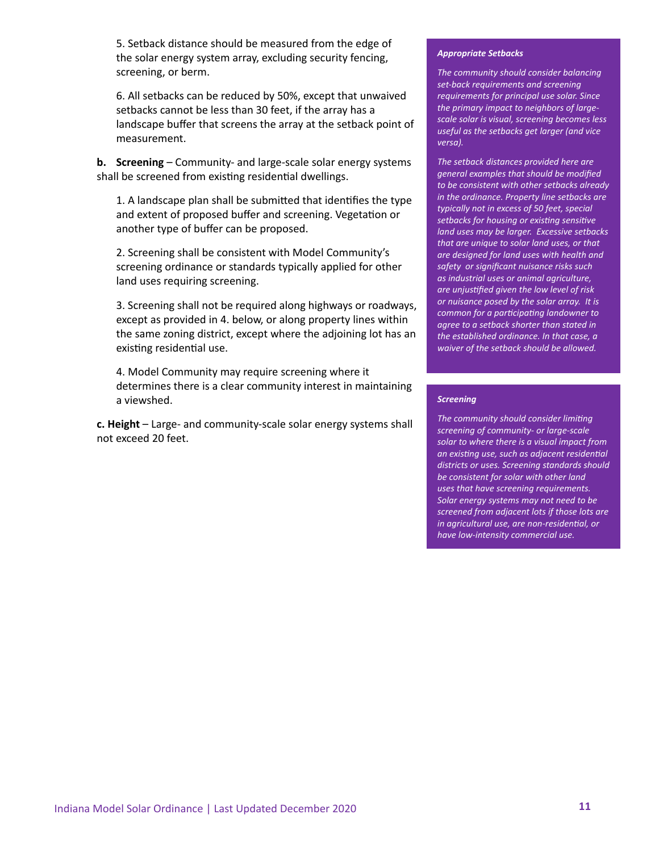5. Setback distance should be measured from the edge of the solar energy system array, excluding security fencing, screening, or berm.

6. All setbacks can be reduced by 50%, except that unwaived setbacks cannot be less than 30 feet, if the array has a landscape buffer that screens the array at the setback point of measurement.

**b. Screening** – Community- and large-scale solar energy systems shall be screened from existing residential dwellings.

1. A landscape plan shall be submitted that identifies the type and extent of proposed buffer and screening. Vegetation or another type of buffer can be proposed.

2. Screening shall be consistent with Model Community's screening ordinance or standards typically applied for other land uses requiring screening.

3. Screening shall not be required along highways or roadways, except as provided in 4. below, or along property lines within the same zoning district, except where the adjoining lot has an existing residential use.

4. Model Community may require screening where it determines there is a clear community interest in maintaining a viewshed.

**c. Height** – Large- and community-scale solar energy systems shall not exceed 20 feet.

#### *Appropriate Setbacks*

*The community should consider balancing set-back requirements and screening requirements for principal use solar. Since the primary impact to neighbors of largescale solar is visual, screening becomes less useful as the setbacks get larger (and vice versa).*

*The setback distances provided here are general examples that should be modified to be consistent with other setbacks already in the ordinance. Property line setbacks are typically not in excess of 50 feet, special setbacks for housing or existing sensitive land uses may be larger. Excessive setbacks that are unique to solar land uses, or that are designed for land uses with health and safety or significant nuisance risks such as industrial uses or animal agriculture, are unjustified given the low level of risk or nuisance posed by the solar array. It is common for a participating landowner to agree to a setback shorter than stated in the established ordinance. In that case, a waiver of the setback should be allowed.*

#### *Screening*

*The community should consider limiting screening of community- or large-scale solar to where there is a visual impact from an existing use, such as adjacent residential districts or uses. Screening standards should be consistent for solar with other land uses that have screening requirements. Solar energy systems may not need to be screened from adjacent lots if those lots are in agricultural use, are non-residential, or have low-intensity commercial use.*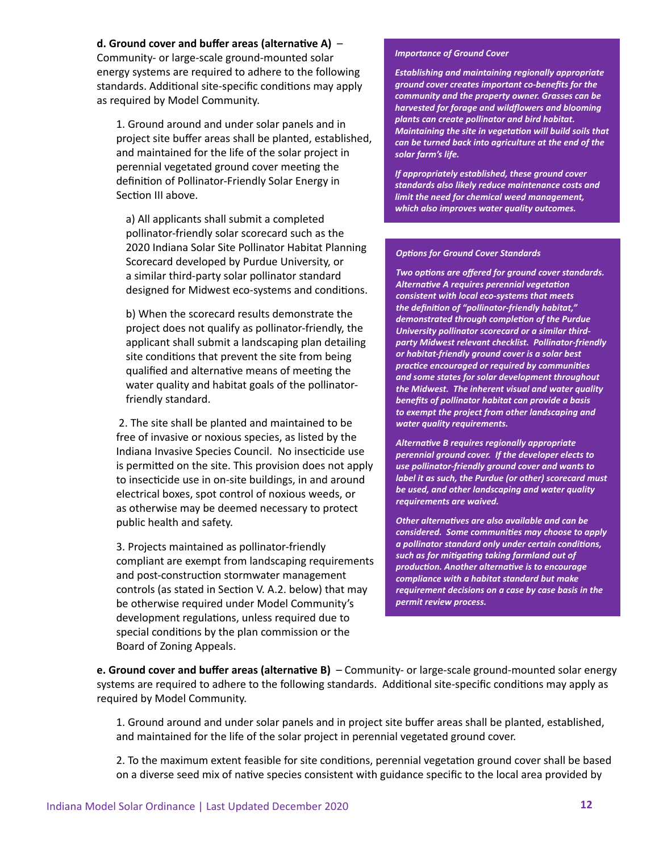#### **d. Ground cover and buffer areas (alternative A)** –

Community- or large-scale ground-mounted solar energy systems are required to adhere to the following standards. Additional site-specific conditions may apply as required by Model Community.

1. Ground around and under solar panels and in project site buffer areas shall be planted, established, and maintained for the life of the solar project in perennial vegetated ground cover meeting the definition of Pollinator-Friendly Solar Energy in Section III above.

a) All applicants shall submit a completed pollinator-friendly solar scorecard such as the 2020 Indiana Solar Site Pollinator Habitat Planning Scorecard developed by Purdue University, or a similar third-party solar pollinator standard designed for Midwest eco-systems and conditions.

b) When the scorecard results demonstrate the project does not qualify as pollinator-friendly, the applicant shall submit a landscaping plan detailing site conditions that prevent the site from being qualified and alternative means of meeting the water quality and habitat goals of the pollinatorfriendly standard.

 2. The site shall be planted and maintained to be free of invasive or noxious species, as listed by the Indiana Invasive Species Council. No insecticide use is permitted on the site. This provision does not apply to insecticide use in on-site buildings, in and around electrical boxes, spot control of noxious weeds, or as otherwise may be deemed necessary to protect public health and safety.

3. Projects maintained as pollinator-friendly compliant are exempt from landscaping requirements and post-construction stormwater management controls (as stated in Section V. A.2. below) that may be otherwise required under Model Community's development regulations, unless required due to special conditions by the plan commission or the Board of Zoning Appeals.

#### *Importance of Ground Cover*

*Establishing and maintaining regionally appropriate ground cover creates important co-benefits for the community and the property owner. Grasses can be harvested for forage and wildflowers and blooming plants can create pollinator and bird habitat. Maintaining the site in vegetation will build soils that can be turned back into agriculture at the end of the solar farm's life.*

*If appropriately established, these ground cover standards also likely reduce maintenance costs and limit the need for chemical weed management, which also improves water quality outcomes.*

#### *Options for Ground Cover Standards*

*Two options are offered for ground cover standards. Alternative A requires perennial vegetation consistent with local eco-systems that meets the definition of "pollinator-friendly habitat," demonstrated through completion of the Purdue University pollinator scorecard or a similar thirdparty Midwest relevant checklist. Pollinator-friendly or habitat-friendly ground cover is a solar best practice encouraged or required by communities and some states for solar development throughout the Midwest. The inherent visual and water quality benefits of pollinator habitat can provide a basis to exempt the project from other landscaping and water quality requirements.*

*Alternative B requires regionally appropriate perennial ground cover. If the developer elects to use pollinator-friendly ground cover and wants to label it as such, the Purdue (or other) scorecard must be used, and other landscaping and water quality requirements are waived.*

*Other alternatives are also available and can be considered. Some communities may choose to apply a pollinator standard only under certain conditions, such as for mitigating taking farmland out of production. Another alternative is to encourage compliance with a habitat standard but make requirement decisions on a case by case basis in the permit review process.* 

**e. Ground cover and buffer areas (alternative B)** – Community- or large-scale ground-mounted solar energy systems are required to adhere to the following standards. Additional site-specific conditions may apply as required by Model Community.

1. Ground around and under solar panels and in project site buffer areas shall be planted, established, and maintained for the life of the solar project in perennial vegetated ground cover.

2. To the maximum extent feasible for site conditions, perennial vegetation ground cover shall be based on a diverse seed mix of native species consistent with guidance specific to the local area provided by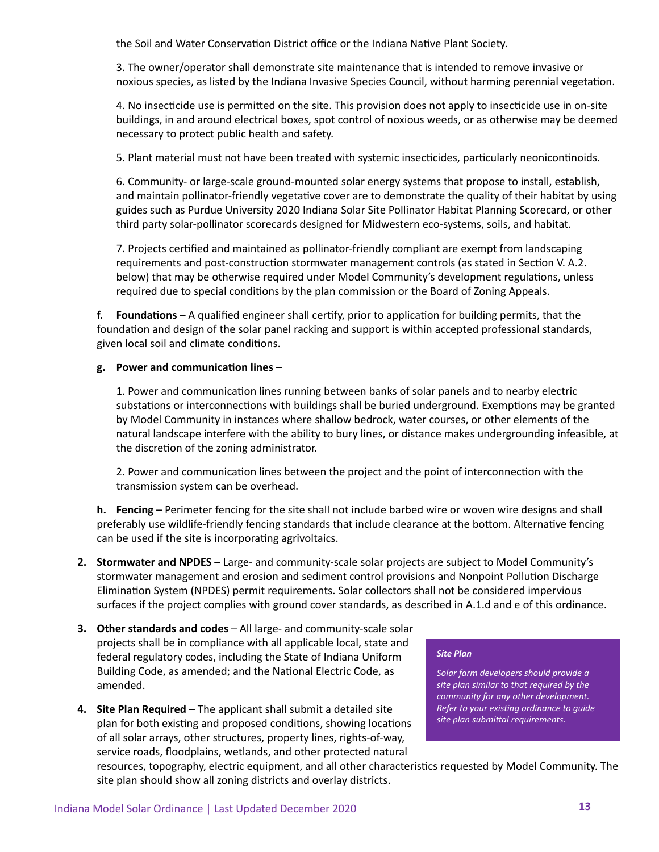the Soil and Water Conservation District office or the Indiana Native Plant Society.

3. The owner/operator shall demonstrate site maintenance that is intended to remove invasive or noxious species, as listed by the Indiana Invasive Species Council, without harming perennial vegetation.

4. No insecticide use is permitted on the site. This provision does not apply to insecticide use in on-site buildings, in and around electrical boxes, spot control of noxious weeds, or as otherwise may be deemed necessary to protect public health and safety.

5. Plant material must not have been treated with systemic insecticides, particularly neonicontinoids.

6. Community- or large-scale ground-mounted solar energy systems that propose to install, establish, and maintain pollinator-friendly vegetative cover are to demonstrate the quality of their habitat by using guides such as Purdue University 2020 Indiana Solar Site Pollinator Habitat Planning Scorecard, or other third party solar-pollinator scorecards designed for Midwestern eco-systems, soils, and habitat.

7. Projects certified and maintained as pollinator-friendly compliant are exempt from landscaping requirements and post-construction stormwater management controls (as stated in Section V. A.2. below) that may be otherwise required under Model Community's development regulations, unless required due to special conditions by the plan commission or the Board of Zoning Appeals.

**f.** Foundations – A qualified engineer shall certify, prior to application for building permits, that the foundation and design of the solar panel racking and support is within accepted professional standards, given local soil and climate conditions.

#### **g. Power and communication lines** –

1. Power and communication lines running between banks of solar panels and to nearby electric substations or interconnections with buildings shall be buried underground. Exemptions may be granted by Model Community in instances where shallow bedrock, water courses, or other elements of the natural landscape interfere with the ability to bury lines, or distance makes undergrounding infeasible, at the discretion of the zoning administrator.

2. Power and communication lines between the project and the point of interconnection with the transmission system can be overhead.

**h. Fencing** – Perimeter fencing for the site shall not include barbed wire or woven wire designs and shall preferably use wildlife-friendly fencing standards that include clearance at the bottom. Alternative fencing can be used if the site is incorporating agrivoltaics.

- **2. Stormwater and NPDES** Large- and community-scale solar projects are subject to Model Community's stormwater management and erosion and sediment control provisions and Nonpoint Pollution Discharge Elimination System (NPDES) permit requirements. Solar collectors shall not be considered impervious surfaces if the project complies with ground cover standards, as described in A.1.d and e of this ordinance.
- **3. Other standards and codes** All large- and community-scale solar projects shall be in compliance with all applicable local, state and federal regulatory codes, including the State of Indiana Uniform Building Code, as amended; and the National Electric Code, as amended.
- **4. Site Plan Required** The applicant shall submit a detailed site plan for both existing and proposed conditions, showing locations of all solar arrays, other structures, property lines, rights-of-way, service roads, floodplains, wetlands, and other protected natural

#### *Site Plan*

*Solar farm developers should provide a site plan similar to that required by the community for any other development. Refer to your existing ordinance to guide site plan submittal requirements.*

resources, topography, electric equipment, and all other characteristics requested by Model Community. The site plan should show all zoning districts and overlay districts.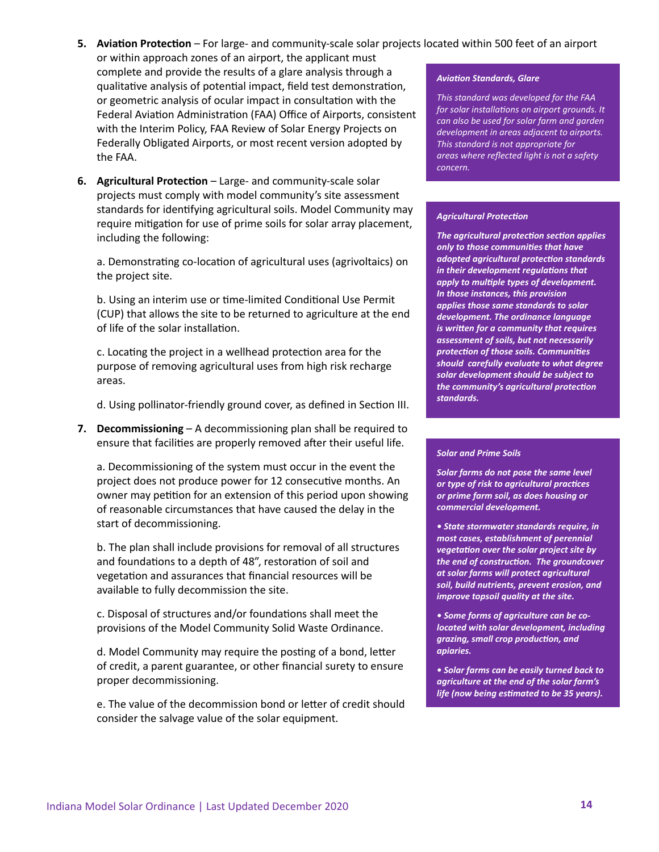#### **5. Aviation Protection** – For large- and community-scale solar projects located within 500 feet of an airport

- or within approach zones of an airport, the applicant must complete and provide the results of a glare analysis through a qualitative analysis of potential impact, field test demonstration, or geometric analysis of ocular impact in consultation with the Federal Aviation Administration (FAA) Office of Airports, consistent with the Interim Policy, FAA Review of Solar Energy Projects on Federally Obligated Airports, or most recent version adopted by the FAA.
- **6. Agricultural Protection** Large- and community-scale solar projects must comply with model community's site assessment standards for identifying agricultural soils. Model Community may require mitigation for use of prime soils for solar array placement, including the following:

a. Demonstrating co-location of agricultural uses (agrivoltaics) on the project site.

b. Using an interim use or time-limited Conditional Use Permit (CUP) that allows the site to be returned to agriculture at the end of life of the solar installation.

c. Locating the project in a wellhead protection area for the purpose of removing agricultural uses from high risk recharge areas.

d. Using pollinator-friendly ground cover, as defined in Section III.

**7. Decommissioning** – A decommissioning plan shall be required to ensure that facilities are properly removed after their useful life.

a. Decommissioning of the system must occur in the event the project does not produce power for 12 consecutive months. An owner may petition for an extension of this period upon showing of reasonable circumstances that have caused the delay in the start of decommissioning.

b. The plan shall include provisions for removal of all structures and foundations to a depth of 48", restoration of soil and vegetation and assurances that financial resources will be available to fully decommission the site.

c. Disposal of structures and/or foundations shall meet the provisions of the Model Community Solid Waste Ordinance.

d. Model Community may require the posting of a bond, letter of credit, a parent guarantee, or other financial surety to ensure proper decommissioning.

e. The value of the decommission bond or letter of credit should consider the salvage value of the solar equipment.

#### *Aviation Standards, Glare*

*This standard was developed for the FAA for solar installations on airport grounds. It can also be used for solar farm and garden development in areas adjacent to airports. This standard is not appropriate for areas where reflected light is not a safety concern.*

#### *Agricultural Protection*

*The agricultural protection section applies only to those communities that have adopted agricultural protection standards in their development regulations that apply to multiple types of development. In those instances, this provision applies those same standards to solar development. The ordinance language is written for a community that requires assessment of soils, but not necessarily protection of those soils. Communities should carefully evaluate to what degree solar development should be subject to the community's agricultural protection standards.*

#### *Solar and Prime Soils*

*Solar farms do not pose the same level or type of risk to agricultural practices or prime farm soil, as does housing or commercial development.* 

*• State stormwater standards require, in most cases, establishment of perennial vegetation over the solar project site by the end of construction. The groundcover at solar farms will protect agricultural soil, build nutrients, prevent erosion, and improve topsoil quality at the site.*

*• Some forms of agriculture can be colocated with solar development, including grazing, small crop production, and apiaries.* 

*• Solar farms can be easily turned back to agriculture at the end of the solar farm's life (now being estimated to be 35 years).*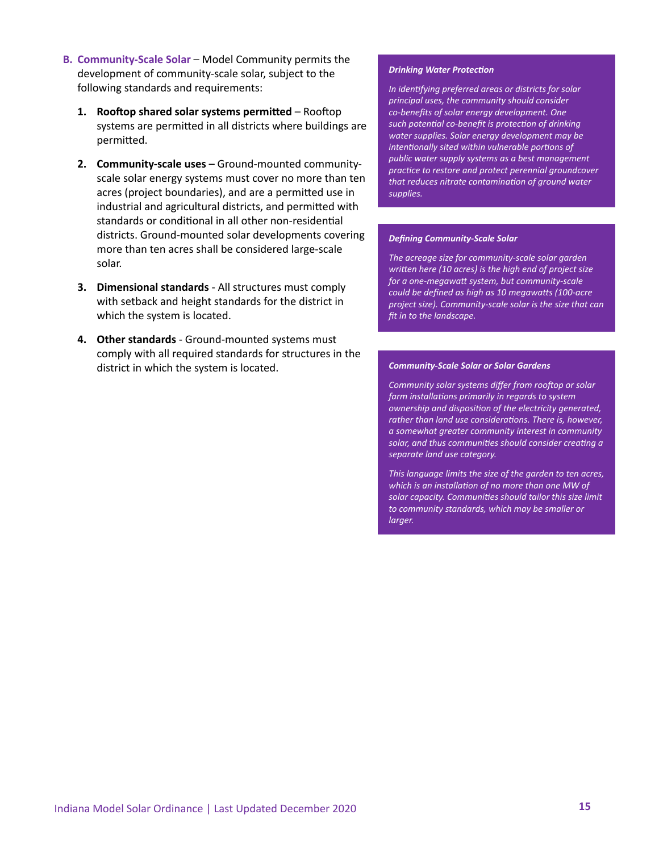- **B. Community-Scale Solar**  Model Community permits the development of community-scale solar, subject to the following standards and requirements:
	- **1. Rooftop shared solar systems permitted** Rooftop systems are permitted in all districts where buildings are permitted.
	- **2. Community-scale uses**  Ground-mounted communityscale solar energy systems must cover no more than ten acres (project boundaries), and are a permitted use in industrial and agricultural districts, and permitted with standards or conditional in all other non-residential districts. Ground-mounted solar developments covering more than ten acres shall be considered large-scale solar.
	- **3. Dimensional standards**  All structures must comply with setback and height standards for the district in which the system is located.
	- **4. Other standards** Ground-mounted systems must comply with all required standards for structures in the district in which the system is located.

#### *Drinking Water Protection*

*In identifying preferred areas or districts for solar principal uses, the community should consider co-benefits of solar energy development. One such potential co-benefit is protection of drinking water supplies. Solar energy development may be intentionally sited within vulnerable portions of public water supply systems as a best management practice to restore and protect perennial groundcover that reduces nitrate contamination of ground water supplies.*

#### *Defining Community-Scale Solar*

*The acreage size for community-scale solar garden written here (10 acres) is the high end of project size for a one-megawatt system, but community-scale could be defined as high as 10 megawatts (100-acre project size). Community-scale solar is the size that can fit in to the landscape.*

#### *Community-Scale Solar or Solar Gardens*

*Community solar systems differ from rooftop or solar farm installations primarily in regards to system ownership and disposition of the electricity generated, rather than land use considerations. There is, however, a somewhat greater community interest in community solar, and thus communities should consider creating a separate land use category.*

*This language limits the size of the garden to ten acres, which is an installation of no more than one MW of solar capacity. Communities should tailor this size limit to community standards, which may be smaller or larger.*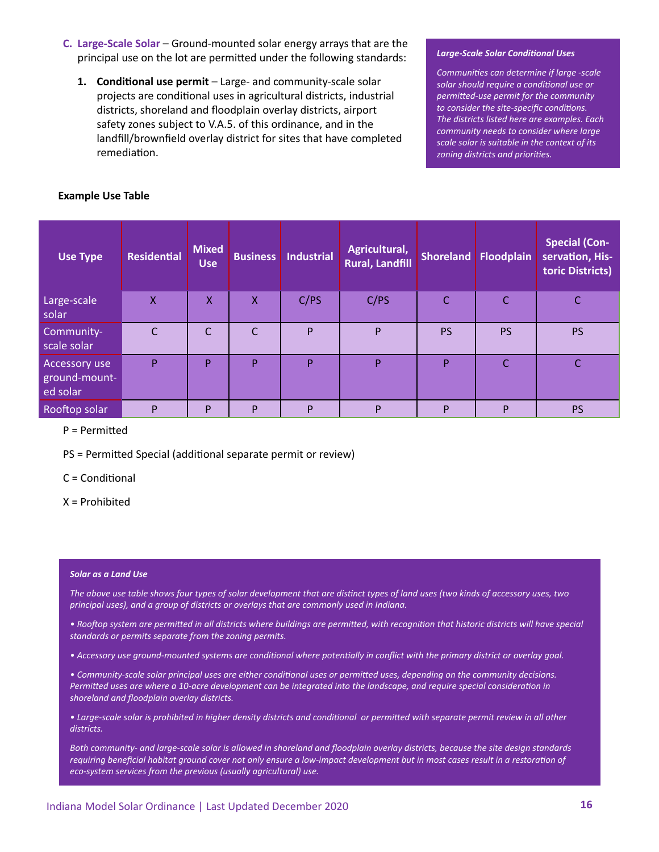- **C.** Large-Scale Solar Ground-mounted solar energy arrays that are the principal use on the lot are permitted under the following standards:
	- **1. Conditional use permit** Large- and community-scale solar projects are conditional uses in agricultural districts, industrial districts, shoreland and floodplain overlay districts, airport safety zones subject to V.A.5. of this ordinance, and in the landfill/brownfield overlay district for sites that have completed remediation.

#### *Large-Scale Solar Conditional Uses*

*Communities can determine if large -scale solar should require a conditional use or permitted-use permit for the community to consider the site-specific conditions. The districts listed here are examples. Each community needs to consider where large scale solar is suitable in the context of its zoning districts and priorities.*

| <b>Example Use Table</b> |  |  |  |  |
|--------------------------|--|--|--|--|
|--------------------------|--|--|--|--|

| <b>Use Type</b>                            | <b>Residential</b> | <b>Mixed</b><br><b>Use</b> | <b>Business</b> | <b>Industrial</b> | Agricultural,<br><b>Rural, Landfill</b> | <b>Shoreland</b> | Floodplain   | <b>Special (Con-</b><br>servation, His-<br>toric Districts) |
|--------------------------------------------|--------------------|----------------------------|-----------------|-------------------|-----------------------------------------|------------------|--------------|-------------------------------------------------------------|
| Large-scale<br>solar                       | $\sf X$            | X                          | X               | C/PS              | C/PS                                    | $\mathsf{C}$     | $\mathsf{C}$ | C                                                           |
| Community-<br>scale solar                  | C                  | C                          | $\overline{C}$  | P                 | P                                       | <b>PS</b>        | <b>PS</b>    | <b>PS</b>                                                   |
| Accessory use<br>ground-mount-<br>ed solar | P                  | P                          | P               | P                 | P                                       | P                | C            |                                                             |
| Rooftop solar                              | P                  | P                          | P               | P                 | P                                       | P                | P            | <b>PS</b>                                                   |

P = Permitted

PS = Permitted Special (additional separate permit or review)

C = Conditional

X = Prohibited

#### *Solar as a Land Use*

*The above use table shows four types of solar development that are distinct types of land uses (two kinds of accessory uses, two principal uses), and a group of districts or overlays that are commonly used in Indiana.* 

*• Rooftop system are permitted in all districts where buildings are permitted, with recognition that historic districts will have special standards or permits separate from the zoning permits.* 

*• Accessory use ground-mounted systems are conditional where potentially in conflict with the primary district or overlay goal.*

*• Community-scale solar principal uses are either conditional uses or permitted uses, depending on the community decisions. Permitted uses are where a 10-acre development can be integrated into the landscape, and require special consideration in shoreland and floodplain overlay districts.*

*• Large-scale solar is prohibited in higher density districts and conditional or permitted with separate permit review in all other districts.*

*Both community- and large-scale solar is allowed in shoreland and floodplain overlay districts, because the site design standards requiring beneficial habitat ground cover not only ensure a low-impact development but in most cases result in a restoration of eco-system services from the previous (usually agricultural) use.*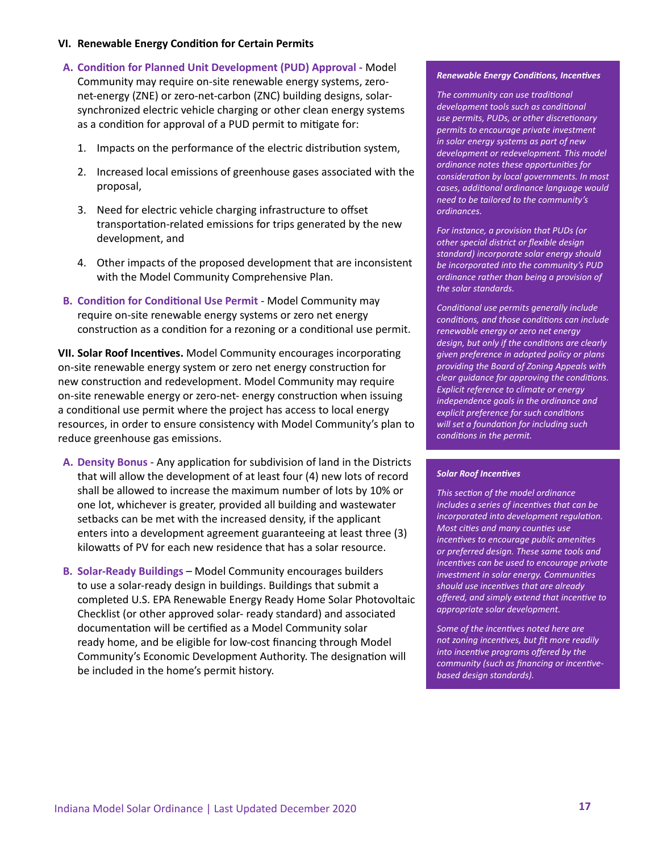#### **VI. Renewable Energy Condition for Certain Permits**

- **A. Condition for Planned Unit Development (PUD) Approval -** Model Community may require on-site renewable energy systems, zeronet-energy (ZNE) or zero-net-carbon (ZNC) building designs, solarsynchronized electric vehicle charging or other clean energy systems as a condition for approval of a PUD permit to mitigate for:
	- 1. Impacts on the performance of the electric distribution system,
	- 2. Increased local emissions of greenhouse gases associated with the proposal,
	- 3. Need for electric vehicle charging infrastructure to offset transportation-related emissions for trips generated by the new development, and
	- 4. Other impacts of the proposed development that are inconsistent with the Model Community Comprehensive Plan.
- **B. Condition for Conditional Use Permit** Model Community may require on-site renewable energy systems or zero net energy construction as a condition for a rezoning or a conditional use permit.

**VII. Solar Roof Incentives.** Model Community encourages incorporating on-site renewable energy system or zero net energy construction for new construction and redevelopment. Model Community may require on-site renewable energy or zero-net- energy construction when issuing a conditional use permit where the project has access to local energy resources, in order to ensure consistency with Model Community's plan to reduce greenhouse gas emissions.

- **A. Density Bonus** Any application for subdivision of land in the Districts that will allow the development of at least four (4) new lots of record shall be allowed to increase the maximum number of lots by 10% or one lot, whichever is greater, provided all building and wastewater setbacks can be met with the increased density, if the applicant enters into a development agreement guaranteeing at least three (3) kilowatts of PV for each new residence that has a solar resource.
- **B. Solar-Ready Buildings** Model Community encourages builders to use a solar-ready design in buildings. Buildings that submit a completed U.S. EPA Renewable Energy Ready Home Solar Photovoltaic Checklist (or other approved solar- ready standard) and associated documentation will be certified as a Model Community solar ready home, and be eligible for low-cost financing through Model Community's Economic Development Authority. The designation will be included in the home's permit history.

#### *Renewable Energy Conditions, Incentives*

*The community can use traditional development tools such as conditional use permits, PUDs, or other discretionary permits to encourage private investment in solar energy systems as part of new development or redevelopment. This model ordinance notes these opportunities for consideration by local governments. In most cases, additional ordinance language would need to be tailored to the community's ordinances.*

*For instance, a provision that PUDs (or other special district or flexible design standard) incorporate solar energy should be incorporated into the community's PUD ordinance rather than being a provision of the solar standards.*

*Conditional use permits generally include conditions, and those conditions can include renewable energy or zero net energy design, but only if the conditions are clearly given preference in adopted policy or plans providing the Board of Zoning Appeals with clear guidance for approving the conditions. Explicit reference to climate or energy independence goals in the ordinance and explicit preference for such conditions will set a foundation for including such conditions in the permit.*

#### *Solar Roof Incentives*

*This section of the model ordinance includes a series of incentives that can be incorporated into development regulation. Most cities and many counties use incentives to encourage public amenities or preferred design. These same tools and incentives can be used to encourage private investment in solar energy. Communities should use incentives that are already offered, and simply extend that incentive to appropriate solar development.* 

*Some of the incentives noted here are not zoning incentives, but fit more readily into incentive programs offered by the community (such as financing or incentivebased design standards).*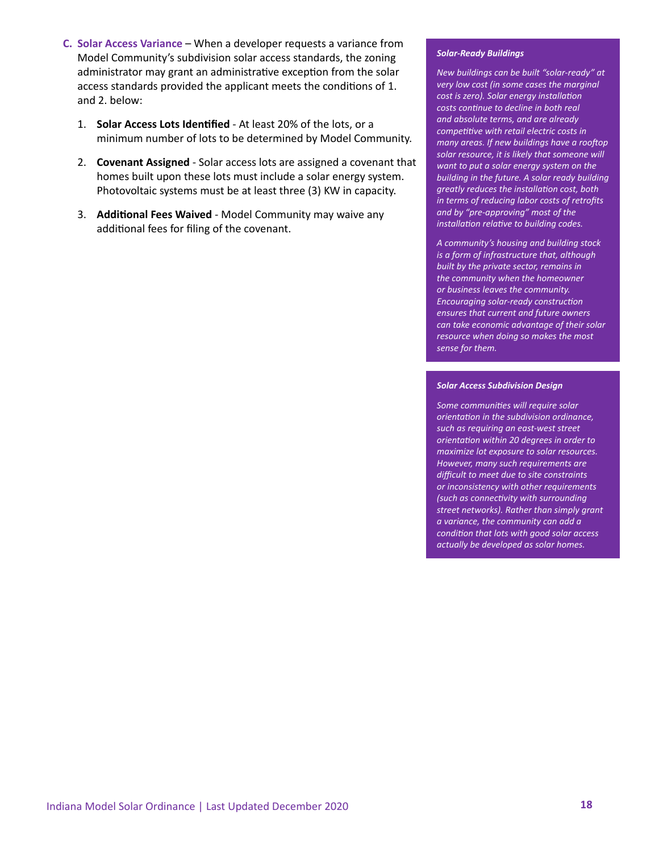- **C. Solar Access Variance**  When a developer requests a variance from Model Community's subdivision solar access standards, the zoning administrator may grant an administrative exception from the solar access standards provided the applicant meets the conditions of 1. and 2. below:
	- 1. **Solar Access Lots Identified** At least 20% of the lots, or a minimum number of lots to be determined by Model Community.
	- 2. **Covenant Assigned** Solar access lots are assigned a covenant that homes built upon these lots must include a solar energy system. Photovoltaic systems must be at least three (3) KW in capacity.
	- 3. **Additional Fees Waived** Model Community may waive any additional fees for filing of the covenant.

#### *Solar-Ready Buildings*

*New buildings can be built "solar-ready" at very low cost (in some cases the marginal cost is zero). Solar energy installation costs continue to decline in both real and absolute terms, and are already competitive with retail electric costs in many areas. If new buildings have a rooftop solar resource, it is likely that someone will want to put a solar energy system on the building in the future. A solar ready building greatly reduces the installation cost, both in terms of reducing labor costs of retrofits and by "pre-approving" most of the installation relative to building codes.*

*A community's housing and building stock is a form of infrastructure that, although built by the private sector, remains in the community when the homeowner or business leaves the community. Encouraging solar-ready construction ensures that current and future owners can take economic advantage of their solar resource when doing so makes the most sense for them.*

#### *Solar Access Subdivision Design*

*Some communities will require solar orientation in the subdivision ordinance, such as requiring an east-west street orientation within 20 degrees in order to maximize lot exposure to solar resources. However, many such requirements are difficult to meet due to site constraints or inconsistency with other requirements (such as connectivity with surrounding street networks). Rather than simply grant a variance, the community can add a condition that lots with good solar access actually be developed as solar homes.*